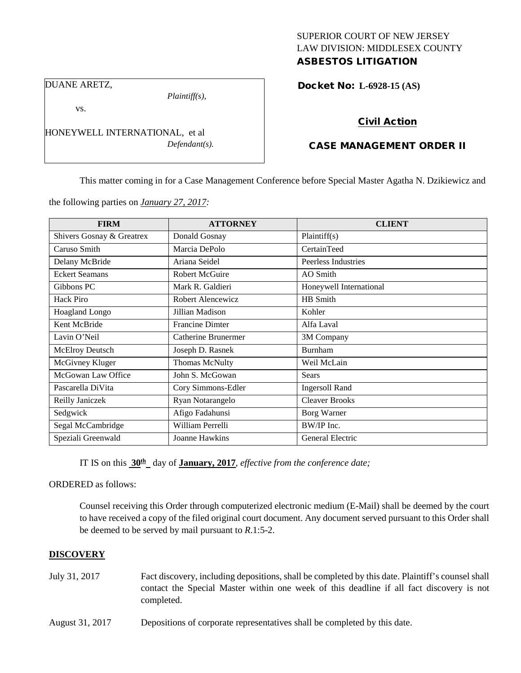# SUPERIOR COURT OF NEW JERSEY LAW DIVISION: MIDDLESEX COUNTY ASBESTOS LITIGATION

Docket No: **L-6928-15 (AS)** 

DUANE ARETZ,

vs.

*Plaintiff(s),*

*Defendant(s).*

Civil Action

# CASE MANAGEMENT ORDER II

This matter coming in for a Case Management Conference before Special Master Agatha N. Dzikiewicz and

the following parties on *January 27, 2017:*

HONEYWELL INTERNATIONAL, et al

| <b>FIRM</b>               | <b>ATTORNEY</b>        | <b>CLIENT</b>           |
|---------------------------|------------------------|-------------------------|
| Shivers Gosnay & Greatrex | Donald Gosnay          | Plaintiff(s)            |
| Caruso Smith              | Marcia DePolo          | CertainTeed             |
| Delany McBride            | Ariana Seidel          | Peerless Industries     |
| <b>Eckert Seamans</b>     | <b>Robert McGuire</b>  | AO Smith                |
| Gibbons PC                | Mark R. Galdieri       | Honeywell International |
| <b>Hack Piro</b>          | Robert Alencewicz      | HB Smith                |
| Hoagland Longo            | Jillian Madison        | Kohler                  |
| Kent McBride              | <b>Francine Dimter</b> | Alfa Laval              |
| Lavin O'Neil              | Catherine Brunermer    | 3M Company              |
| McElroy Deutsch           | Joseph D. Rasnek       | Burnham                 |
| McGivney Kluger           | <b>Thomas McNulty</b>  | Weil McLain             |
| McGowan Law Office        | John S. McGowan        | Sears                   |
| Pascarella DiVita         | Cory Simmons-Edler     | <b>Ingersoll Rand</b>   |
| Reilly Janiczek           | Ryan Notarangelo       | <b>Cleaver Brooks</b>   |
| Sedgwick                  | Afigo Fadahunsi        | Borg Warner             |
| Segal McCambridge         | William Perrelli       | BW/IP Inc.              |
| Speziali Greenwald        | Joanne Hawkins         | <b>General Electric</b> |

IT IS on this **30th** day of **January, 2017**, *effective from the conference date;*

ORDERED as follows:

Counsel receiving this Order through computerized electronic medium (E-Mail) shall be deemed by the court to have received a copy of the filed original court document. Any document served pursuant to this Order shall be deemed to be served by mail pursuant to *R*.1:5-2.

## **DISCOVERY**

- July 31, 2017 Fact discovery, including depositions, shall be completed by this date. Plaintiff's counsel shall contact the Special Master within one week of this deadline if all fact discovery is not completed.
- August 31, 2017 Depositions of corporate representatives shall be completed by this date.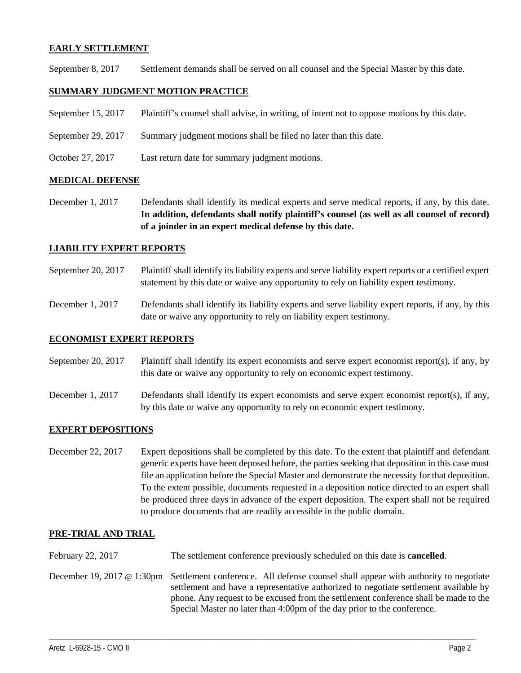# **EARLY SETTLEMENT**

September 8, 2017 Settlement demands shall be served on all counsel and the Special Master by this date.

# **SUMMARY JUDGMENT MOTION PRACTICE**

- September 15, 2017 Plaintiff's counsel shall advise, in writing, of intent not to oppose motions by this date.
- September 29, 2017 Summary judgment motions shall be filed no later than this date.
- October 27, 2017 Last return date for summary judgment motions.

#### **MEDICAL DEFENSE**

December 1, 2017 Defendants shall identify its medical experts and serve medical reports, if any, by this date. **In addition, defendants shall notify plaintiff's counsel (as well as all counsel of record) of a joinder in an expert medical defense by this date.**

## **LIABILITY EXPERT REPORTS**

- September 20, 2017 Plaintiff shall identify its liability experts and serve liability expert reports or a certified expert statement by this date or waive any opportunity to rely on liability expert testimony.
- December 1, 2017 Defendants shall identify its liability experts and serve liability expert reports, if any, by this date or waive any opportunity to rely on liability expert testimony.

#### **ECONOMIST EXPERT REPORTS**

September 20, 2017 Plaintiff shall identify its expert economists and serve expert economist report(s), if any, by this date or waive any opportunity to rely on economic expert testimony.

December 1, 2017 Defendants shall identify its expert economists and serve expert economist report(s), if any, by this date or waive any opportunity to rely on economic expert testimony.

## **EXPERT DEPOSITIONS**

December 22, 2017 Expert depositions shall be completed by this date. To the extent that plaintiff and defendant generic experts have been deposed before, the parties seeking that deposition in this case must file an application before the Special Master and demonstrate the necessity for that deposition. To the extent possible, documents requested in a deposition notice directed to an expert shall be produced three days in advance of the expert deposition. The expert shall not be required to produce documents that are readily accessible in the public domain.

## **PRE-TRIAL AND TRIAL**

- February 22, 2017 The settlement conference previously scheduled on this date is **cancelled**.
- December 19, 2017 @ 1:30pm Settlement conference. All defense counsel shall appear with authority to negotiate settlement and have a representative authorized to negotiate settlement available by phone. Any request to be excused from the settlement conference shall be made to the Special Master no later than 4:00pm of the day prior to the conference.

\_\_\_\_\_\_\_\_\_\_\_\_\_\_\_\_\_\_\_\_\_\_\_\_\_\_\_\_\_\_\_\_\_\_\_\_\_\_\_\_\_\_\_\_\_\_\_\_\_\_\_\_\_\_\_\_\_\_\_\_\_\_\_\_\_\_\_\_\_\_\_\_\_\_\_\_\_\_\_\_\_\_\_\_\_\_\_\_\_\_\_\_\_\_\_\_\_\_\_\_\_\_\_\_\_\_\_\_\_\_